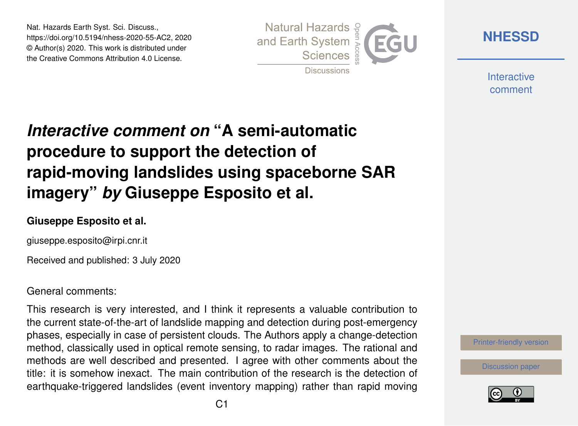Nat. Hazards Earth Syst. Sci. Discuss., https://doi.org/10.5194/nhess-2020-55-AC2, 2020 © Author(s) 2020. This work is distributed under the Creative Commons Attribution 4.0 License.



**[NHESSD](https://www.nat-hazards-earth-syst-sci-discuss.net/)**

**Interactive** comment

# *Interactive comment on* **"A semi-automatic procedure to support the detection of rapid-moving landslides using spaceborne SAR imagery"** *by* **Giuseppe Esposito et al.**

#### **Giuseppe Esposito et al.**

giuseppe.esposito@irpi.cnr.it

Received and published: 3 July 2020

#### General comments:

This research is very interested, and I think it represents a valuable contribution to the current state-of-the-art of landslide mapping and detection during post-emergency phases, especially in case of persistent clouds. The Authors apply a change-detection method, classically used in optical remote sensing, to radar images. The rational and methods are well described and presented. I agree with other comments about the title: it is somehow inexact. The main contribution of the research is the detection of earthquake-triggered landslides (event inventory mapping) rather than rapid moving



[Discussion paper](https://www.nat-hazards-earth-syst-sci-discuss.net/nhess-2020-55)

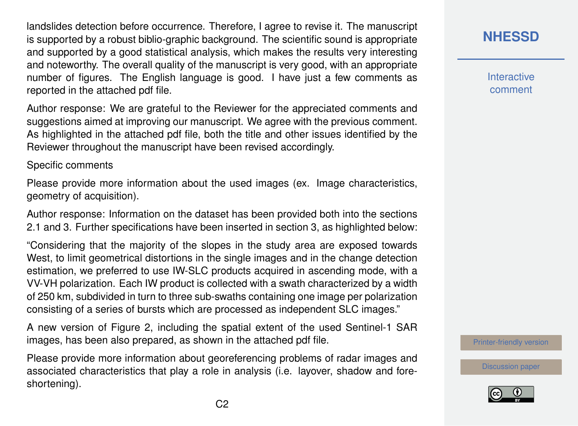landslides detection before occurrence. Therefore, I agree to revise it. The manuscript is supported by a robust biblio-graphic background. The scientific sound is appropriate and supported by a good statistical analysis, which makes the results very interesting and noteworthy. The overall quality of the manuscript is very good, with an appropriate number of figures. The English language is good. I have just a few comments as reported in the attached pdf file.

Author response: We are grateful to the Reviewer for the appreciated comments and suggestions aimed at improving our manuscript. We agree with the previous comment. As highlighted in the attached pdf file, both the title and other issues identified by the Reviewer throughout the manuscript have been revised accordingly.

Specific comments

Please provide more information about the used images (ex. Image characteristics, geometry of acquisition).

Author response: Information on the dataset has been provided both into the sections 2.1 and 3. Further specifications have been inserted in section 3, as highlighted below:

"Considering that the majority of the slopes in the study area are exposed towards West, to limit geometrical distortions in the single images and in the change detection estimation, we preferred to use IW-SLC products acquired in ascending mode, with a VV-VH polarization. Each IW product is collected with a swath characterized by a width of 250 km, subdivided in turn to three sub-swaths containing one image per polarization consisting of a series of bursts which are processed as independent SLC images."

A new version of Figure 2, including the spatial extent of the used Sentinel-1 SAR images, has been also prepared, as shown in the attached pdf file.

Please provide more information about georeferencing problems of radar images and associated characteristics that play a role in analysis (i.e. layover, shadow and foreshortening).

**[NHESSD](https://www.nat-hazards-earth-syst-sci-discuss.net/)**

**Interactive** comment

[Printer-friendly version](https://www.nat-hazards-earth-syst-sci-discuss.net/nhess-2020-55/nhess-2020-55-AC2-print.pdf)

[Discussion paper](https://www.nat-hazards-earth-syst-sci-discuss.net/nhess-2020-55)

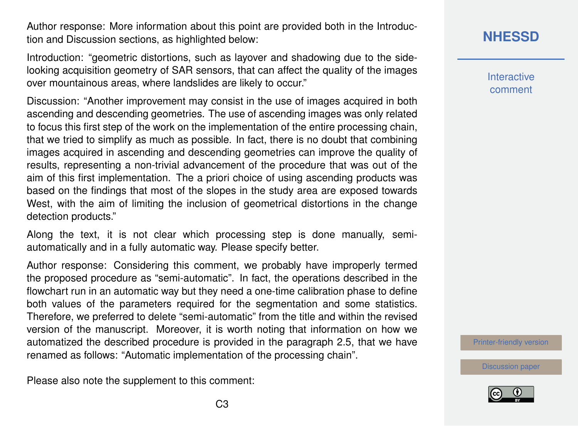Author response: More information about this point are provided both in the Introduction and Discussion sections, as highlighted below:

Introduction: "geometric distortions, such as layover and shadowing due to the sidelooking acquisition geometry of SAR sensors, that can affect the quality of the images over mountainous areas, where landslides are likely to occur."

Discussion: "Another improvement may consist in the use of images acquired in both ascending and descending geometries. The use of ascending images was only related to focus this first step of the work on the implementation of the entire processing chain, that we tried to simplify as much as possible. In fact, there is no doubt that combining images acquired in ascending and descending geometries can improve the quality of results, representing a non-trivial advancement of the procedure that was out of the aim of this first implementation. The a priori choice of using ascending products was based on the findings that most of the slopes in the study area are exposed towards West, with the aim of limiting the inclusion of geometrical distortions in the change detection products."

Along the text, it is not clear which processing step is done manually, semiautomatically and in a fully automatic way. Please specify better.

Author response: Considering this comment, we probably have improperly termed the proposed procedure as "semi-automatic". In fact, the operations described in the flowchart run in an automatic way but they need a one-time calibration phase to define both values of the parameters required for the segmentation and some statistics. Therefore, we preferred to delete "semi-automatic" from the title and within the revised version of the manuscript. Moreover, it is worth noting that information on how we automatized the described procedure is provided in the paragraph 2.5, that we have renamed as follows: "Automatic implementation of the processing chain".

Please also note the supplement to this comment:

## **[NHESSD](https://www.nat-hazards-earth-syst-sci-discuss.net/)**

**Interactive** comment

[Printer-friendly version](https://www.nat-hazards-earth-syst-sci-discuss.net/nhess-2020-55/nhess-2020-55-AC2-print.pdf)